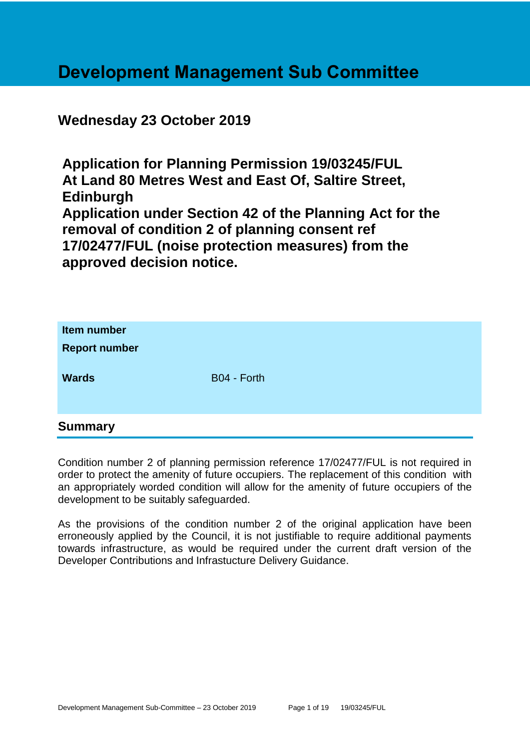# **Development Management Sub Committee**

# **Wednesday 23 October 2019**

**Application for Planning Permission 19/03245/FUL At Land 80 Metres West and East Of, Saltire Street, Edinburgh Application under Section 42 of the Planning Act for the removal of condition 2 of planning consent ref 17/02477/FUL (noise protection measures) from the approved decision notice.**

| Item number<br><b>Report number</b> |             |  |
|-------------------------------------|-------------|--|
| <b>Wards</b>                        | B04 - Forth |  |
| <b>Summary</b>                      |             |  |

Condition number 2 of planning permission reference 17/02477/FUL is not required in order to protect the amenity of future occupiers. The replacement of this condition with an appropriately worded condition will allow for the amenity of future occupiers of the development to be suitably safeguarded.

As the provisions of the condition number 2 of the original application have been erroneously applied by the Council, it is not justifiable to require additional payments towards infrastructure, as would be required under the current draft version of the Developer Contributions and Infrastucture Delivery Guidance.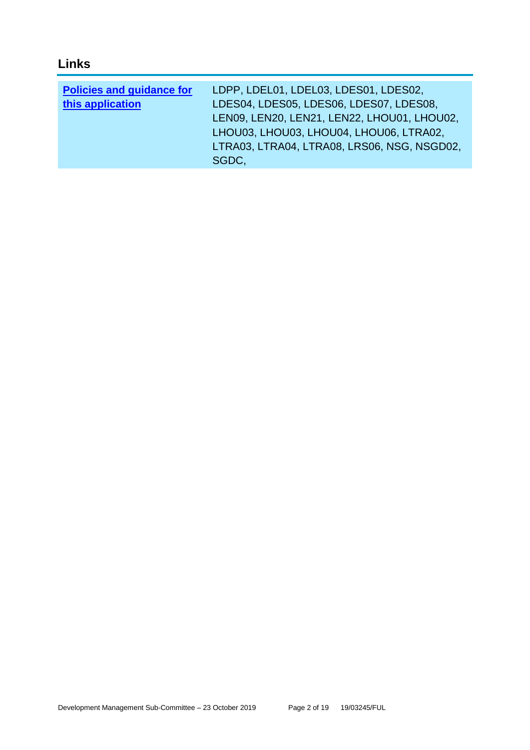# **Links**

| <b>Policies and guidance for</b> | LDPP, LDEL01, LDEL03, LDES01, LDES02,       |
|----------------------------------|---------------------------------------------|
| this application                 | LDES04, LDES05, LDES06, LDES07, LDES08,     |
|                                  | LEN09, LEN20, LEN21, LEN22, LHOU01, LHOU02, |
|                                  | LHOU03, LHOU03, LHOU04, LHOU06, LTRA02,     |
|                                  | LTRA03, LTRA04, LTRA08, LRS06, NSG, NSGD02, |
|                                  | SGDC.                                       |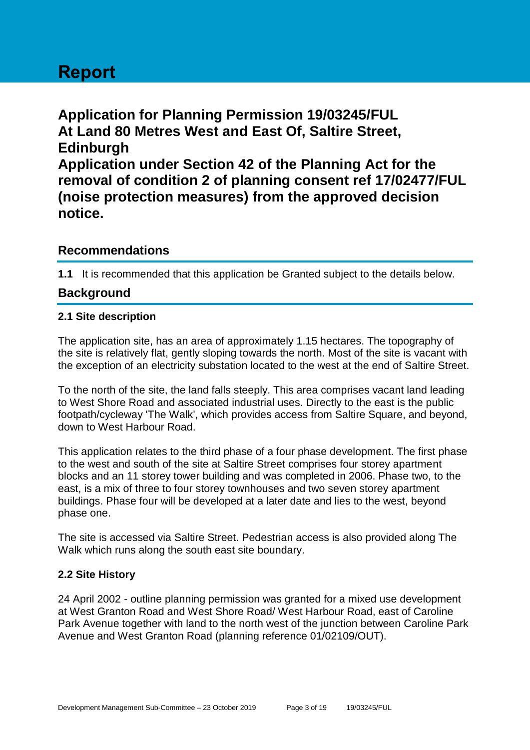# **Report**

**Application for Planning Permission 19/03245/FUL At Land 80 Metres West and East Of, Saltire Street, Edinburgh Application under Section 42 of the Planning Act for the removal of condition 2 of planning consent ref 17/02477/FUL (noise protection measures) from the approved decision notice.**

# **Recommendations**

**1.1** It is recommended that this application be Granted subject to the details below.

# **Background**

#### **2.1 Site description**

The application site, has an area of approximately 1.15 hectares. The topography of the site is relatively flat, gently sloping towards the north. Most of the site is vacant with the exception of an electricity substation located to the west at the end of Saltire Street.

To the north of the site, the land falls steeply. This area comprises vacant land leading to West Shore Road and associated industrial uses. Directly to the east is the public footpath/cycleway 'The Walk', which provides access from Saltire Square, and beyond, down to West Harbour Road.

This application relates to the third phase of a four phase development. The first phase to the west and south of the site at Saltire Street comprises four storey apartment blocks and an 11 storey tower building and was completed in 2006. Phase two, to the east, is a mix of three to four storey townhouses and two seven storey apartment buildings. Phase four will be developed at a later date and lies to the west, beyond phase one.

The site is accessed via Saltire Street. Pedestrian access is also provided along The Walk which runs along the south east site boundary.

# **2.2 Site History**

24 April 2002 - outline planning permission was granted for a mixed use development at West Granton Road and West Shore Road/ West Harbour Road, east of Caroline Park Avenue together with land to the north west of the junction between Caroline Park Avenue and West Granton Road (planning reference 01/02109/OUT).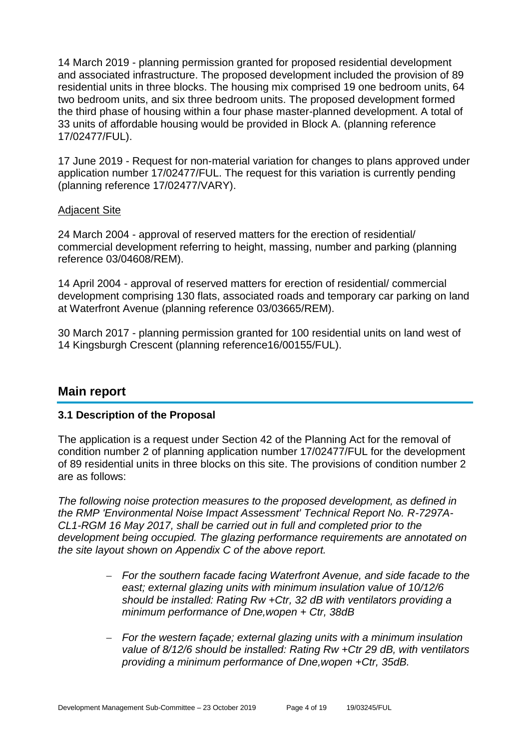14 March 2019 - planning permission granted for proposed residential development and associated infrastructure. The proposed development included the provision of 89 residential units in three blocks. The housing mix comprised 19 one bedroom units, 64 two bedroom units, and six three bedroom units. The proposed development formed the third phase of housing within a four phase master-planned development. A total of 33 units of affordable housing would be provided in Block A. (planning reference 17/02477/FUL).

17 June 2019 - Request for non-material variation for changes to plans approved under application number 17/02477/FUL. The request for this variation is currently pending (planning reference 17/02477/VARY).

#### Adjacent Site

24 March 2004 - approval of reserved matters for the erection of residential/ commercial development referring to height, massing, number and parking (planning reference 03/04608/REM).

14 April 2004 - approval of reserved matters for erection of residential/ commercial development comprising 130 flats, associated roads and temporary car parking on land at Waterfront Avenue (planning reference 03/03665/REM).

30 March 2017 - planning permission granted for 100 residential units on land west of 14 Kingsburgh Crescent (planning reference16/00155/FUL).

# **Main report**

#### **3.1 Description of the Proposal**

The application is a request under Section 42 of the Planning Act for the removal of condition number 2 of planning application number 17/02477/FUL for the development of 89 residential units in three blocks on this site. The provisions of condition number 2 are as follows:

*The following noise protection measures to the proposed development, as defined in the RMP 'Environmental Noise Impact Assessment' Technical Report No. R-7297A-CL1-RGM 16 May 2017, shall be carried out in full and completed prior to the development being occupied. The glazing performance requirements are annotated on the site layout shown on Appendix C of the above report.* 

- *For the southern facade facing Waterfront Avenue, and side facade to the east; external glazing units with minimum insulation value of 10/12/6 should be installed: Rating Rw +Ctr, 32 dB with ventilators providing a minimum performance of Dne,wopen + Ctr, 38dB*
- *For the western façade; external glazing units with a minimum insulation value of 8/12/6 should be installed: Rating Rw +Ctr 29 dB, with ventilators providing a minimum performance of Dne,wopen +Ctr, 35dB.*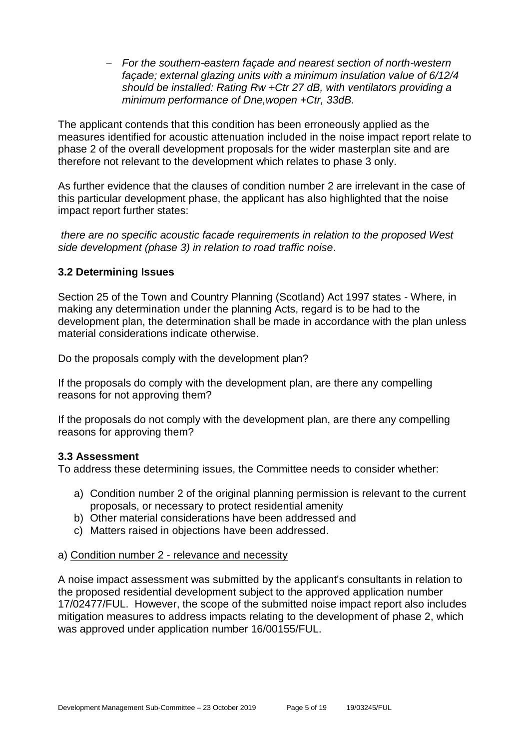*For the southern-eastern façade and nearest section of north-western façade; external glazing units with a minimum insulation value of 6/12/4 should be installed: Rating Rw +Ctr 27 dB, with ventilators providing a minimum performance of Dne,wopen +Ctr, 33dB.*

The applicant contends that this condition has been erroneously applied as the measures identified for acoustic attenuation included in the noise impact report relate to phase 2 of the overall development proposals for the wider masterplan site and are therefore not relevant to the development which relates to phase 3 only.

As further evidence that the clauses of condition number 2 are irrelevant in the case of this particular development phase, the applicant has also highlighted that the noise impact report further states:

*there are no specific acoustic facade requirements in relation to the proposed West side development (phase 3) in relation to road traffic noise*.

# **3.2 Determining Issues**

Section 25 of the Town and Country Planning (Scotland) Act 1997 states - Where, in making any determination under the planning Acts, regard is to be had to the development plan, the determination shall be made in accordance with the plan unless material considerations indicate otherwise.

Do the proposals comply with the development plan?

If the proposals do comply with the development plan, are there any compelling reasons for not approving them?

If the proposals do not comply with the development plan, are there any compelling reasons for approving them?

# **3.3 Assessment**

To address these determining issues, the Committee needs to consider whether:

- a) Condition number 2 of the original planning permission is relevant to the current proposals, or necessary to protect residential amenity
- b) Other material considerations have been addressed and
- c) Matters raised in objections have been addressed.

#### a) Condition number 2 - relevance and necessity

A noise impact assessment was submitted by the applicant's consultants in relation to the proposed residential development subject to the approved application number 17/02477/FUL. However, the scope of the submitted noise impact report also includes mitigation measures to address impacts relating to the development of phase 2, which was approved under application number 16/00155/FUL.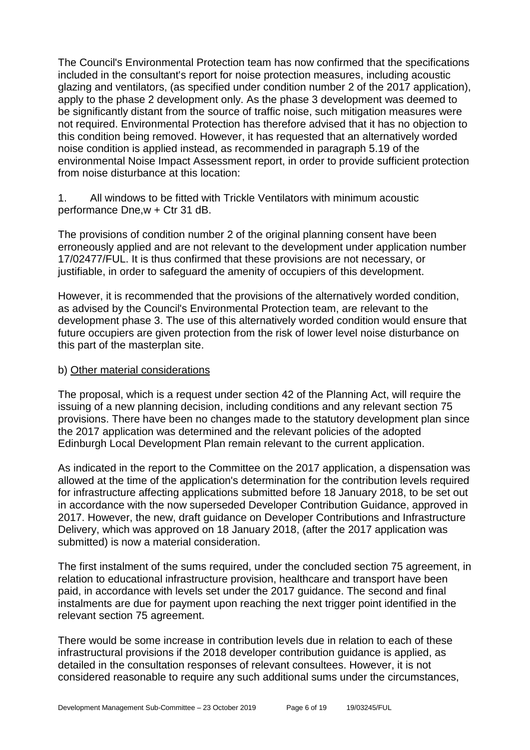The Council's Environmental Protection team has now confirmed that the specifications included in the consultant's report for noise protection measures, including acoustic glazing and ventilators, (as specified under condition number 2 of the 2017 application), apply to the phase 2 development only. As the phase 3 development was deemed to be significantly distant from the source of traffic noise, such mitigation measures were not required. Environmental Protection has therefore advised that it has no objection to this condition being removed. However, it has requested that an alternatively worded noise condition is applied instead, as recommended in paragraph 5.19 of the environmental Noise Impact Assessment report, in order to provide sufficient protection from noise disturbance at this location:

1. All windows to be fitted with Trickle Ventilators with minimum acoustic performance Dne,w + Ctr 31 dB.

The provisions of condition number 2 of the original planning consent have been erroneously applied and are not relevant to the development under application number 17/02477/FUL. It is thus confirmed that these provisions are not necessary, or justifiable, in order to safeguard the amenity of occupiers of this development.

However, it is recommended that the provisions of the alternatively worded condition, as advised by the Council's Environmental Protection team, are relevant to the development phase 3. The use of this alternatively worded condition would ensure that future occupiers are given protection from the risk of lower level noise disturbance on this part of the masterplan site.

#### b) Other material considerations

The proposal, which is a request under section 42 of the Planning Act, will require the issuing of a new planning decision, including conditions and any relevant section 75 provisions. There have been no changes made to the statutory development plan since the 2017 application was determined and the relevant policies of the adopted Edinburgh Local Development Plan remain relevant to the current application.

As indicated in the report to the Committee on the 2017 application, a dispensation was allowed at the time of the application's determination for the contribution levels required for infrastructure affecting applications submitted before 18 January 2018, to be set out in accordance with the now superseded Developer Contribution Guidance, approved in 2017. However, the new, draft guidance on Developer Contributions and Infrastructure Delivery, which was approved on 18 January 2018, (after the 2017 application was submitted) is now a material consideration.

The first instalment of the sums required, under the concluded section 75 agreement, in relation to educational infrastructure provision, healthcare and transport have been paid, in accordance with levels set under the 2017 guidance. The second and final instalments are due for payment upon reaching the next trigger point identified in the relevant section 75 agreement.

There would be some increase in contribution levels due in relation to each of these infrastructural provisions if the 2018 developer contribution guidance is applied, as detailed in the consultation responses of relevant consultees. However, it is not considered reasonable to require any such additional sums under the circumstances,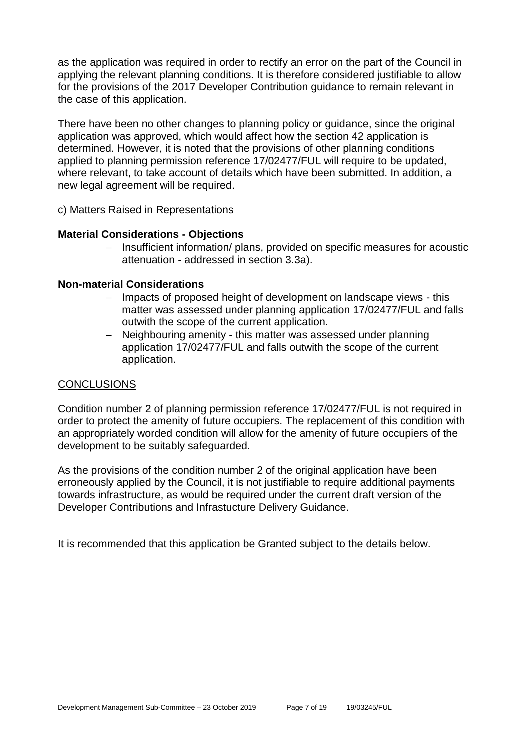as the application was required in order to rectify an error on the part of the Council in applying the relevant planning conditions. It is therefore considered justifiable to allow for the provisions of the 2017 Developer Contribution guidance to remain relevant in the case of this application.

There have been no other changes to planning policy or guidance, since the original application was approved, which would affect how the section 42 application is determined. However, it is noted that the provisions of other planning conditions applied to planning permission reference 17/02477/FUL will require to be updated, where relevant, to take account of details which have been submitted. In addition, a new legal agreement will be required.

#### c) Matters Raised in Representations

#### **Material Considerations - Objections**

- Insufficient information/ plans, provided on specific measures for acoustic attenuation - addressed in section 3.3a).

#### **Non-material Considerations**

- Impacts of proposed height of development on landscape views this matter was assessed under planning application 17/02477/FUL and falls outwith the scope of the current application.
- Neighbouring amenity this matter was assessed under planning application 17/02477/FUL and falls outwith the scope of the current application.

#### **CONCLUSIONS**

Condition number 2 of planning permission reference 17/02477/FUL is not required in order to protect the amenity of future occupiers. The replacement of this condition with an appropriately worded condition will allow for the amenity of future occupiers of the development to be suitably safeguarded.

As the provisions of the condition number 2 of the original application have been erroneously applied by the Council, it is not justifiable to require additional payments towards infrastructure, as would be required under the current draft version of the Developer Contributions and Infrastucture Delivery Guidance.

It is recommended that this application be Granted subject to the details below.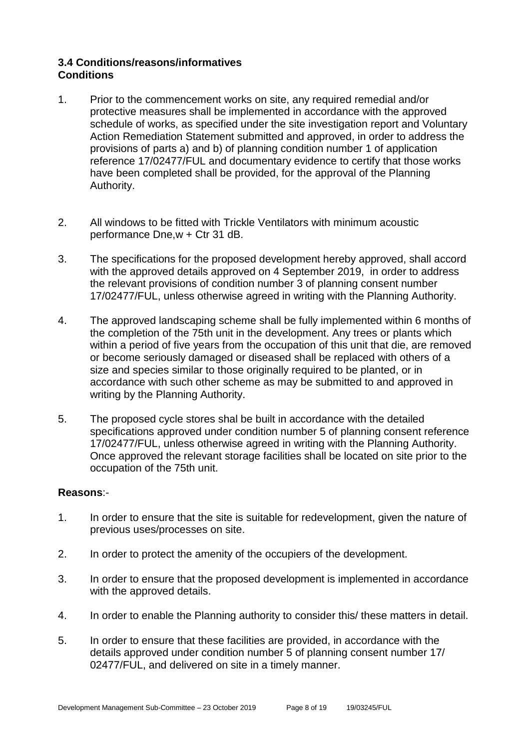# **3.4 Conditions/reasons/informatives Conditions**

- 1. Prior to the commencement works on site, any required remedial and/or protective measures shall be implemented in accordance with the approved schedule of works, as specified under the site investigation report and Voluntary Action Remediation Statement submitted and approved, in order to address the provisions of parts a) and b) of planning condition number 1 of application reference 17/02477/FUL and documentary evidence to certify that those works have been completed shall be provided, for the approval of the Planning Authority.
- 2. All windows to be fitted with Trickle Ventilators with minimum acoustic performance Dne,w + Ctr 31 dB.
- 3. The specifications for the proposed development hereby approved, shall accord with the approved details approved on 4 September 2019, in order to address the relevant provisions of condition number 3 of planning consent number 17/02477/FUL, unless otherwise agreed in writing with the Planning Authority.
- 4. The approved landscaping scheme shall be fully implemented within 6 months of the completion of the 75th unit in the development. Any trees or plants which within a period of five years from the occupation of this unit that die, are removed or become seriously damaged or diseased shall be replaced with others of a size and species similar to those originally required to be planted, or in accordance with such other scheme as may be submitted to and approved in writing by the Planning Authority.
- 5. The proposed cycle stores shal be built in accordance with the detailed specifications approved under condition number 5 of planning consent reference 17/02477/FUL, unless otherwise agreed in writing with the Planning Authority. Once approved the relevant storage facilities shall be located on site prior to the occupation of the 75th unit.

#### **Reasons**:-

- 1. In order to ensure that the site is suitable for redevelopment, given the nature of previous uses/processes on site.
- 2. In order to protect the amenity of the occupiers of the development.
- 3. In order to ensure that the proposed development is implemented in accordance with the approved details.
- 4. In order to enable the Planning authority to consider this/ these matters in detail.
- 5. In order to ensure that these facilities are provided, in accordance with the details approved under condition number 5 of planning consent number 17/ 02477/FUL, and delivered on site in a timely manner.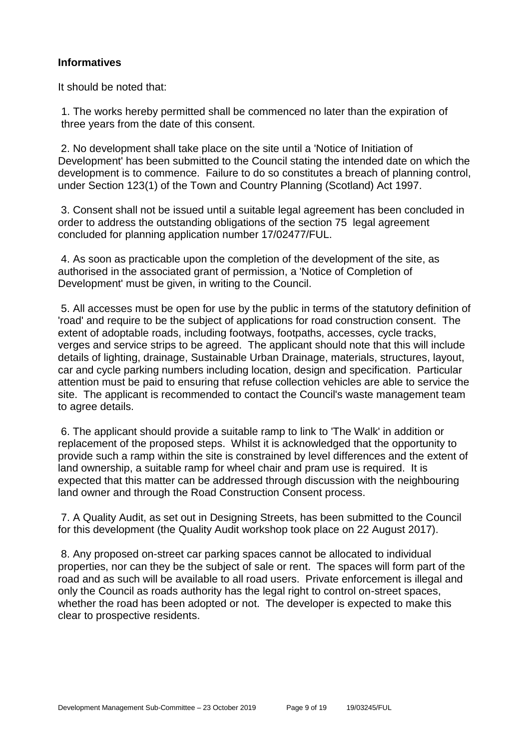### **Informatives**

It should be noted that:

1. The works hereby permitted shall be commenced no later than the expiration of three years from the date of this consent.

2. No development shall take place on the site until a 'Notice of Initiation of Development' has been submitted to the Council stating the intended date on which the development is to commence. Failure to do so constitutes a breach of planning control, under Section 123(1) of the Town and Country Planning (Scotland) Act 1997.

3. Consent shall not be issued until a suitable legal agreement has been concluded in order to address the outstanding obligations of the section 75 legal agreement concluded for planning application number 17/02477/FUL.

4. As soon as practicable upon the completion of the development of the site, as authorised in the associated grant of permission, a 'Notice of Completion of Development' must be given, in writing to the Council.

5. All accesses must be open for use by the public in terms of the statutory definition of 'road' and require to be the subject of applications for road construction consent. The extent of adoptable roads, including footways, footpaths, accesses, cycle tracks, verges and service strips to be agreed. The applicant should note that this will include details of lighting, drainage, Sustainable Urban Drainage, materials, structures, layout, car and cycle parking numbers including location, design and specification. Particular attention must be paid to ensuring that refuse collection vehicles are able to service the site. The applicant is recommended to contact the Council's waste management team to agree details.

6. The applicant should provide a suitable ramp to link to 'The Walk' in addition or replacement of the proposed steps. Whilst it is acknowledged that the opportunity to provide such a ramp within the site is constrained by level differences and the extent of land ownership, a suitable ramp for wheel chair and pram use is required. It is expected that this matter can be addressed through discussion with the neighbouring land owner and through the Road Construction Consent process.

7. A Quality Audit, as set out in Designing Streets, has been submitted to the Council for this development (the Quality Audit workshop took place on 22 August 2017).

8. Any proposed on-street car parking spaces cannot be allocated to individual properties, nor can they be the subject of sale or rent. The spaces will form part of the road and as such will be available to all road users. Private enforcement is illegal and only the Council as roads authority has the legal right to control on-street spaces, whether the road has been adopted or not. The developer is expected to make this clear to prospective residents.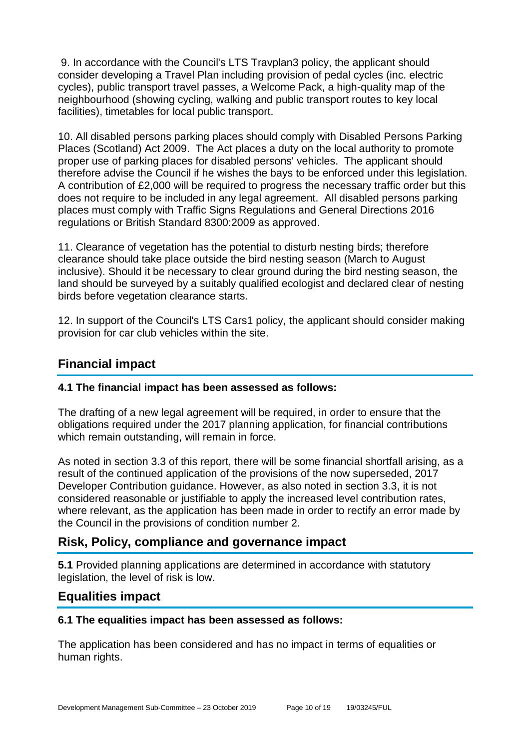9. In accordance with the Council's LTS Travplan3 policy, the applicant should consider developing a Travel Plan including provision of pedal cycles (inc. electric cycles), public transport travel passes, a Welcome Pack, a high-quality map of the neighbourhood (showing cycling, walking and public transport routes to key local facilities), timetables for local public transport.

10. All disabled persons parking places should comply with Disabled Persons Parking Places (Scotland) Act 2009. The Act places a duty on the local authority to promote proper use of parking places for disabled persons' vehicles. The applicant should therefore advise the Council if he wishes the bays to be enforced under this legislation. A contribution of £2,000 will be required to progress the necessary traffic order but this does not require to be included in any legal agreement. All disabled persons parking places must comply with Traffic Signs Regulations and General Directions 2016 regulations or British Standard 8300:2009 as approved.

11. Clearance of vegetation has the potential to disturb nesting birds; therefore clearance should take place outside the bird nesting season (March to August inclusive). Should it be necessary to clear ground during the bird nesting season, the land should be surveyed by a suitably qualified ecologist and declared clear of nesting birds before vegetation clearance starts.

12. In support of the Council's LTS Cars1 policy, the applicant should consider making provision for car club vehicles within the site.

# **Financial impact**

# **4.1 The financial impact has been assessed as follows:**

The drafting of a new legal agreement will be required, in order to ensure that the obligations required under the 2017 planning application, for financial contributions which remain outstanding, will remain in force.

As noted in section 3.3 of this report, there will be some financial shortfall arising, as a result of the continued application of the provisions of the now superseded, 2017 Developer Contribution guidance. However, as also noted in section 3.3, it is not considered reasonable or justifiable to apply the increased level contribution rates, where relevant, as the application has been made in order to rectify an error made by the Council in the provisions of condition number 2.

# **Risk, Policy, compliance and governance impact**

**5.1** Provided planning applications are determined in accordance with statutory legislation, the level of risk is low.

# **Equalities impact**

# **6.1 The equalities impact has been assessed as follows:**

The application has been considered and has no impact in terms of equalities or human rights.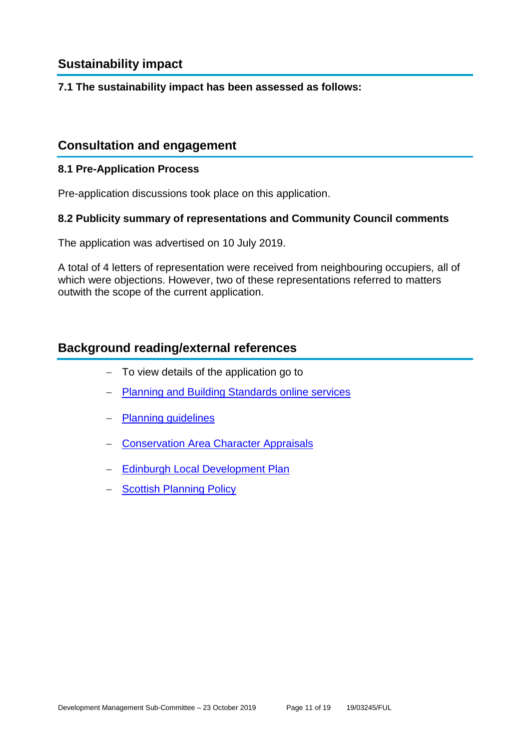# **Sustainability impact**

#### **7.1 The sustainability impact has been assessed as follows:**

# **Consultation and engagement**

#### **8.1 Pre-Application Process**

Pre-application discussions took place on this application.

#### **8.2 Publicity summary of representations and Community Council comments**

The application was advertised on 10 July 2019.

A total of 4 letters of representation were received from neighbouring occupiers, all of which were objections. However, two of these representations referred to matters outwith the scope of the current application.

# **Background reading/external references**

- To view details of the application go to
- [Planning and Building Standards online services](https://citydev-portal.edinburgh.gov.uk/idoxpa-web/search.do?action=simple&searchType=Application)
- [Planning guidelines](http://www.edinburgh.gov.uk/planningguidelines)
- [Conservation Area Character Appraisals](http://www.edinburgh.gov.uk/characterappraisals)
- [Edinburgh Local Development Plan](http://www.edinburgh.gov.uk/localdevelopmentplan)
- [Scottish Planning Policy](http://www.scotland.gov.uk/Topics/Built-Environment/planning/Policy)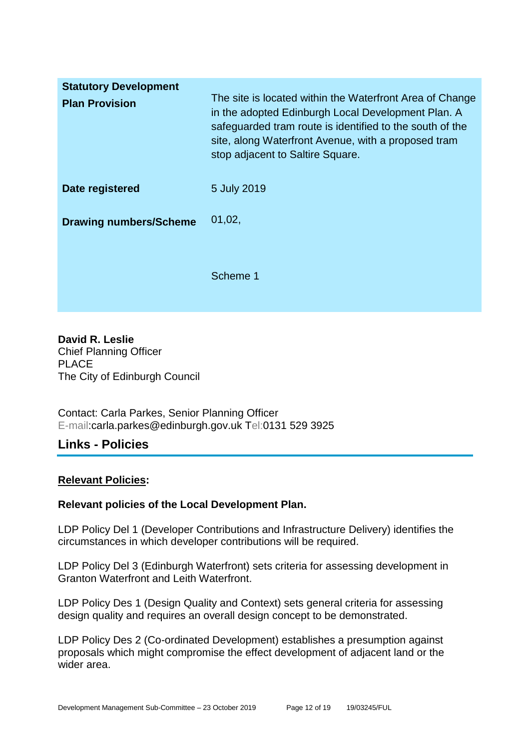| <b>Statutory Development</b><br><b>Plan Provision</b> | The site is located within the Waterfront Area of Change<br>in the adopted Edinburgh Local Development Plan. A<br>safeguarded tram route is identified to the south of the<br>site, along Waterfront Avenue, with a proposed tram<br>stop adjacent to Saltire Square. |
|-------------------------------------------------------|-----------------------------------------------------------------------------------------------------------------------------------------------------------------------------------------------------------------------------------------------------------------------|
| Date registered                                       | 5 July 2019                                                                                                                                                                                                                                                           |
| <b>Drawing numbers/Scheme</b>                         | 01,02,                                                                                                                                                                                                                                                                |
|                                                       | Scheme 1                                                                                                                                                                                                                                                              |

**David R. Leslie** Chief Planning Officer PLACE The City of Edinburgh Council

Contact: Carla Parkes, Senior Planning Officer E-mail:carla.parkes@edinburgh.gov.uk Tel:0131 529 3925

# **Links - Policies**

#### **Relevant Policies:**

#### **Relevant policies of the Local Development Plan.**

LDP Policy Del 1 (Developer Contributions and Infrastructure Delivery) identifies the circumstances in which developer contributions will be required.

LDP Policy Del 3 (Edinburgh Waterfront) sets criteria for assessing development in Granton Waterfront and Leith Waterfront.

LDP Policy Des 1 (Design Quality and Context) sets general criteria for assessing design quality and requires an overall design concept to be demonstrated.

LDP Policy Des 2 (Co-ordinated Development) establishes a presumption against proposals which might compromise the effect development of adjacent land or the wider area.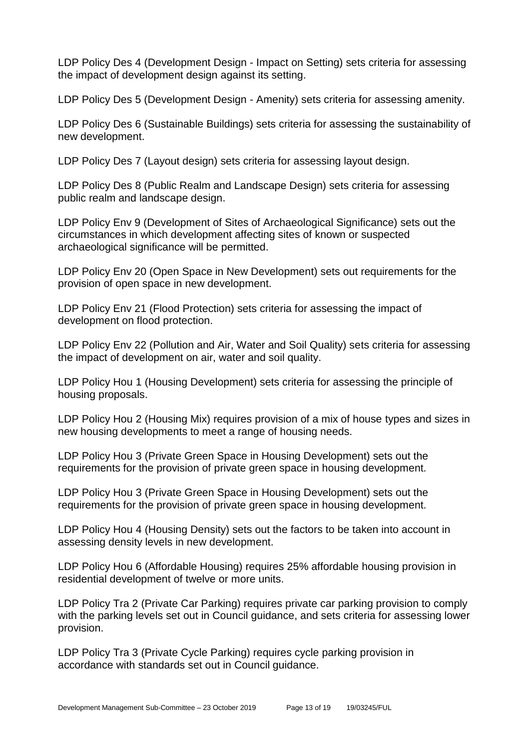LDP Policy Des 4 (Development Design - Impact on Setting) sets criteria for assessing the impact of development design against its setting.

LDP Policy Des 5 (Development Design - Amenity) sets criteria for assessing amenity.

LDP Policy Des 6 (Sustainable Buildings) sets criteria for assessing the sustainability of new development.

LDP Policy Des 7 (Layout design) sets criteria for assessing layout design.

LDP Policy Des 8 (Public Realm and Landscape Design) sets criteria for assessing public realm and landscape design.

LDP Policy Env 9 (Development of Sites of Archaeological Significance) sets out the circumstances in which development affecting sites of known or suspected archaeological significance will be permitted.

LDP Policy Env 20 (Open Space in New Development) sets out requirements for the provision of open space in new development.

LDP Policy Env 21 (Flood Protection) sets criteria for assessing the impact of development on flood protection.

LDP Policy Env 22 (Pollution and Air, Water and Soil Quality) sets criteria for assessing the impact of development on air, water and soil quality.

LDP Policy Hou 1 (Housing Development) sets criteria for assessing the principle of housing proposals.

LDP Policy Hou 2 (Housing Mix) requires provision of a mix of house types and sizes in new housing developments to meet a range of housing needs.

LDP Policy Hou 3 (Private Green Space in Housing Development) sets out the requirements for the provision of private green space in housing development.

LDP Policy Hou 3 (Private Green Space in Housing Development) sets out the requirements for the provision of private green space in housing development.

LDP Policy Hou 4 (Housing Density) sets out the factors to be taken into account in assessing density levels in new development.

LDP Policy Hou 6 (Affordable Housing) requires 25% affordable housing provision in residential development of twelve or more units.

LDP Policy Tra 2 (Private Car Parking) requires private car parking provision to comply with the parking levels set out in Council guidance, and sets criteria for assessing lower provision.

LDP Policy Tra 3 (Private Cycle Parking) requires cycle parking provision in accordance with standards set out in Council guidance.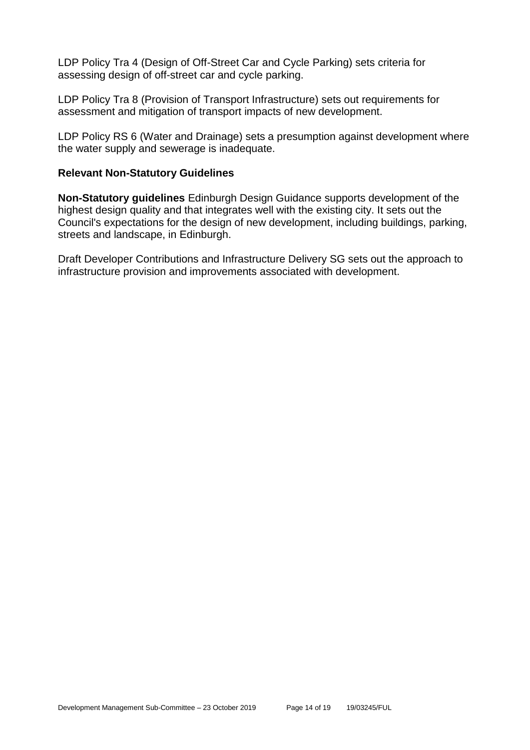LDP Policy Tra 4 (Design of Off-Street Car and Cycle Parking) sets criteria for assessing design of off-street car and cycle parking.

LDP Policy Tra 8 (Provision of Transport Infrastructure) sets out requirements for assessment and mitigation of transport impacts of new development.

LDP Policy RS 6 (Water and Drainage) sets a presumption against development where the water supply and sewerage is inadequate.

#### **Relevant Non-Statutory Guidelines**

**Non-Statutory guidelines** Edinburgh Design Guidance supports development of the highest design quality and that integrates well with the existing city. It sets out the Council's expectations for the design of new development, including buildings, parking, streets and landscape, in Edinburgh.

Draft Developer Contributions and Infrastructure Delivery SG sets out the approach to infrastructure provision and improvements associated with development.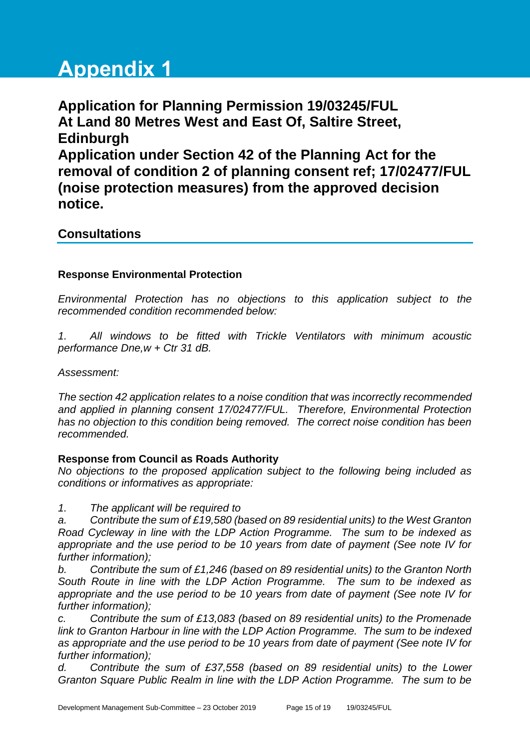# **Appendix 1**

**Application for Planning Permission 19/03245/FUL At Land 80 Metres West and East Of, Saltire Street, Edinburgh Application under Section 42 of the Planning Act for the removal of condition 2 of planning consent ref; 17/02477/FUL (noise protection measures) from the approved decision notice.**

# **Consultations**

#### **Response Environmental Protection**

*Environmental Protection has no objections to this application subject to the recommended condition recommended below:*

*1. All windows to be fitted with Trickle Ventilators with minimum acoustic performance Dne,w + Ctr 31 dB.*

*Assessment:*

*The section 42 application relates to a noise condition that was incorrectly recommended and applied in planning consent 17/02477/FUL. Therefore, Environmental Protection has no objection to this condition being removed. The correct noise condition has been recommended.*

#### **Response from Council as Roads Authority**

*No objections to the proposed application subject to the following being included as conditions or informatives as appropriate:*

*1. The applicant will be required to*

*a. Contribute the sum of £19,580 (based on 89 residential units) to the West Granton Road Cycleway in line with the LDP Action Programme. The sum to be indexed as appropriate and the use period to be 10 years from date of payment (See note IV for further information);*

*b. Contribute the sum of £1,246 (based on 89 residential units) to the Granton North South Route in line with the LDP Action Programme. The sum to be indexed as appropriate and the use period to be 10 years from date of payment (See note IV for further information);*

*c. Contribute the sum of £13,083 (based on 89 residential units) to the Promenade link to Granton Harbour in line with the LDP Action Programme. The sum to be indexed as appropriate and the use period to be 10 years from date of payment (See note IV for further information);*

*d. Contribute the sum of £37,558 (based on 89 residential units) to the Lower Granton Square Public Realm in line with the LDP Action Programme. The sum to be*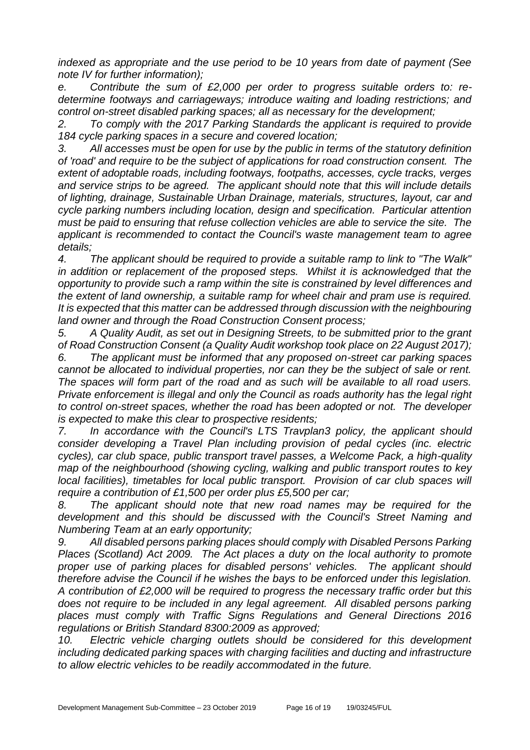*indexed as appropriate and the use period to be 10 years from date of payment (See note IV for further information);*

*e. Contribute the sum of £2,000 per order to progress suitable orders to: redetermine footways and carriageways; introduce waiting and loading restrictions; and control on-street disabled parking spaces; all as necessary for the development;*

*2. To comply with the 2017 Parking Standards the applicant is required to provide 184 cycle parking spaces in a secure and covered location;*

*3. All accesses must be open for use by the public in terms of the statutory definition of 'road' and require to be the subject of applications for road construction consent. The extent of adoptable roads, including footways, footpaths, accesses, cycle tracks, verges and service strips to be agreed. The applicant should note that this will include details of lighting, drainage, Sustainable Urban Drainage, materials, structures, layout, car and cycle parking numbers including location, design and specification. Particular attention must be paid to ensuring that refuse collection vehicles are able to service the site. The applicant is recommended to contact the Council's waste management team to agree details;*

*4. The applicant should be required to provide a suitable ramp to link to "The Walk" in addition or replacement of the proposed steps. Whilst it is acknowledged that the opportunity to provide such a ramp within the site is constrained by level differences and the extent of land ownership, a suitable ramp for wheel chair and pram use is required. It is expected that this matter can be addressed through discussion with the neighbouring land owner and through the Road Construction Consent process;*

*5. A Quality Audit, as set out in Designing Streets, to be submitted prior to the grant of Road Construction Consent (a Quality Audit workshop took place on 22 August 2017);*

*6. The applicant must be informed that any proposed on-street car parking spaces cannot be allocated to individual properties, nor can they be the subject of sale or rent. The spaces will form part of the road and as such will be available to all road users. Private enforcement is illegal and only the Council as roads authority has the legal right to control on-street spaces, whether the road has been adopted or not. The developer is expected to make this clear to prospective residents;*

*7. In accordance with the Council's LTS Travplan3 policy, the applicant should consider developing a Travel Plan including provision of pedal cycles (inc. electric cycles), car club space, public transport travel passes, a Welcome Pack, a high-quality map of the neighbourhood (showing cycling, walking and public transport routes to key local facilities), timetables for local public transport. Provision of car club spaces will require a contribution of £1,500 per order plus £5,500 per car;*

*8. The applicant should note that new road names may be required for the development and this should be discussed with the Council's Street Naming and Numbering Team at an early opportunity;*

*9. All disabled persons parking places should comply with Disabled Persons Parking Places (Scotland) Act 2009. The Act places a duty on the local authority to promote proper use of parking places for disabled persons' vehicles. The applicant should therefore advise the Council if he wishes the bays to be enforced under this legislation. A contribution of £2,000 will be required to progress the necessary traffic order but this*  does not require to be included in any legal agreement. All disabled persons parking *places must comply with Traffic Signs Regulations and General Directions 2016 regulations or British Standard 8300:2009 as approved;*

*10. Electric vehicle charging outlets should be considered for this development including dedicated parking spaces with charging facilities and ducting and infrastructure to allow electric vehicles to be readily accommodated in the future.*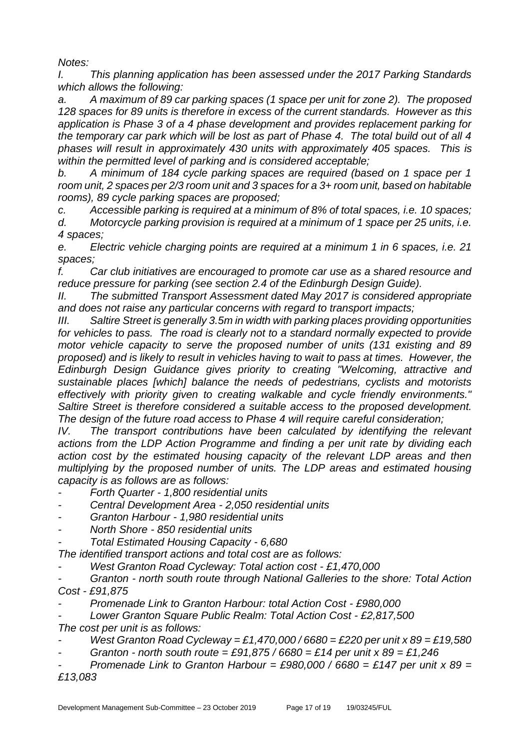*Notes:*

*I. This planning application has been assessed under the 2017 Parking Standards which allows the following:*

*a. A maximum of 89 car parking spaces (1 space per unit for zone 2). The proposed 128 spaces for 89 units is therefore in excess of the current standards. However as this application is Phase 3 of a 4 phase development and provides replacement parking for the temporary car park which will be lost as part of Phase 4. The total build out of all 4 phases will result in approximately 430 units with approximately 405 spaces. This is within the permitted level of parking and is considered acceptable;*

*b. A minimum of 184 cycle parking spaces are required (based on 1 space per 1 room unit, 2 spaces per 2/3 room unit and 3 spaces for a 3+ room unit, based on habitable rooms), 89 cycle parking spaces are proposed;*

*c. Accessible parking is required at a minimum of 8% of total spaces, i.e. 10 spaces; d. Motorcycle parking provision is required at a minimum of 1 space per 25 units, i.e. 4 spaces;*

*e. Electric vehicle charging points are required at a minimum 1 in 6 spaces, i.e. 21 spaces;*

*f. Car club initiatives are encouraged to promote car use as a shared resource and reduce pressure for parking (see section 2.4 of the Edinburgh Design Guide).*

*II. The submitted Transport Assessment dated May 2017 is considered appropriate and does not raise any particular concerns with regard to transport impacts;*

*III. Saltire Street is generally 3.5m in width with parking places providing opportunities for vehicles to pass. The road is clearly not to a standard normally expected to provide motor vehicle capacity to serve the proposed number of units (131 existing and 89 proposed) and is likely to result in vehicles having to wait to pass at times. However, the Edinburgh Design Guidance gives priority to creating "Welcoming, attractive and sustainable places [which] balance the needs of pedestrians, cyclists and motorists effectively with priority given to creating walkable and cycle friendly environments." Saltire Street is therefore considered a suitable access to the proposed development. The design of the future road access to Phase 4 will require careful consideration;*

*IV.* The transport contributions have been calculated by identifying the relevant *actions from the LDP Action Programme and finding a per unit rate by dividing each action cost by the estimated housing capacity of the relevant LDP areas and then multiplying by the proposed number of units. The LDP areas and estimated housing capacity is as follows are as follows:*

*- Forth Quarter - 1,800 residential units*

- *- Central Development Area - 2,050 residential units*
- *- Granton Harbour - 1,980 residential units*
- *- North Shore - 850 residential units*

*- Total Estimated Housing Capacity - 6,680*

*The identified transport actions and total cost are as follows:*

*- West Granton Road Cycleway: Total action cost - £1,470,000*

*- Granton - north south route through National Galleries to the shore: Total Action Cost - £91,875*

*- Promenade Link to Granton Harbour: total Action Cost - £980,000*

*- Lower Granton Square Public Realm: Total Action Cost - £2,817,500*

*The cost per unit is as follows:*

- *- West Granton Road Cycleway = £1,470,000 / 6680 = £220 per unit x 89 = £19,580*
- *- Granton - north south route = £91,875 / 6680 = £14 per unit x 89 = £1,246*

*- Promenade Link to Granton Harbour = £980,000 / 6680 = £147 per unit x 89 = £13,083*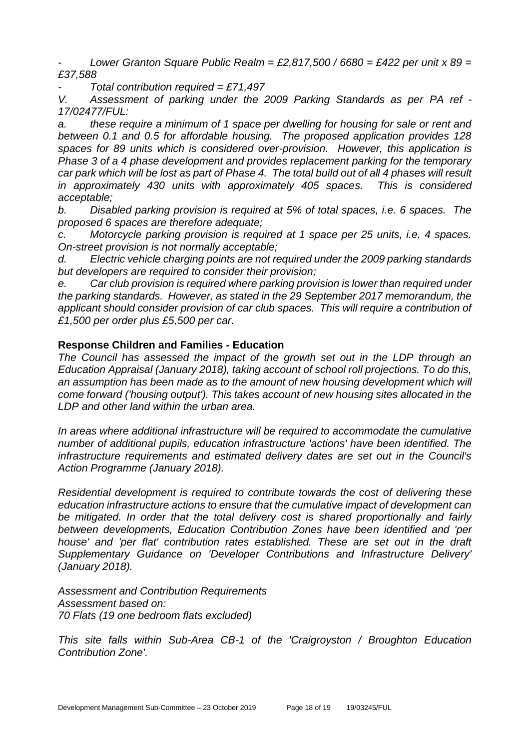*- Lower Granton Square Public Realm = £2,817,500 / 6680 = £422 per unit x 89 = £37,588*

*- Total contribution required = £71,497*

*V. Assessment of parking under the 2009 Parking Standards as per PA ref - 17/02477/FUL:*

*a. these require a minimum of 1 space per dwelling for housing for sale or rent and between 0.1 and 0.5 for affordable housing. The proposed application provides 128 spaces for 89 units which is considered over-provision. However, this application is Phase 3 of a 4 phase development and provides replacement parking for the temporary car park which will be lost as part of Phase 4. The total build out of all 4 phases will result in approximately 430 units with approximately 405 spaces. This is considered acceptable;*

*b. Disabled parking provision is required at 5% of total spaces, i.e. 6 spaces. The proposed 6 spaces are therefore adequate;*

*c. Motorcycle parking provision is required at 1 space per 25 units, i.e. 4 spaces. On-street provision is not normally acceptable;*

*d. Electric vehicle charging points are not required under the 2009 parking standards but developers are required to consider their provision;*

*e. Car club provision is required where parking provision is lower than required under the parking standards. However, as stated in the 29 September 2017 memorandum, the applicant should consider provision of car club spaces. This will require a contribution of £1,500 per order plus £5,500 per car.*

#### **Response Children and Families - Education**

*The Council has assessed the impact of the growth set out in the LDP through an Education Appraisal (January 2018), taking account of school roll projections. To do this,*  an assumption has been made as to the amount of new housing development which will *come forward ('housing output'). This takes account of new housing sites allocated in the LDP and other land within the urban area.*

*In areas where additional infrastructure will be required to accommodate the cumulative number of additional pupils, education infrastructure 'actions' have been identified. The infrastructure requirements and estimated delivery dates are set out in the Council's Action Programme (January 2018).*

*Residential development is required to contribute towards the cost of delivering these education infrastructure actions to ensure that the cumulative impact of development can be mitigated. In order that the total delivery cost is shared proportionally and fairly between developments, Education Contribution Zones have been identified and 'per house' and 'per flat' contribution rates established. These are set out in the draft Supplementary Guidance on 'Developer Contributions and Infrastructure Delivery' (January 2018).* 

*Assessment and Contribution Requirements Assessment based on: 70 Flats (19 one bedroom flats excluded)* 

*This site falls within Sub-Area CB-1 of the 'Craigroyston / Broughton Education Contribution Zone'.*